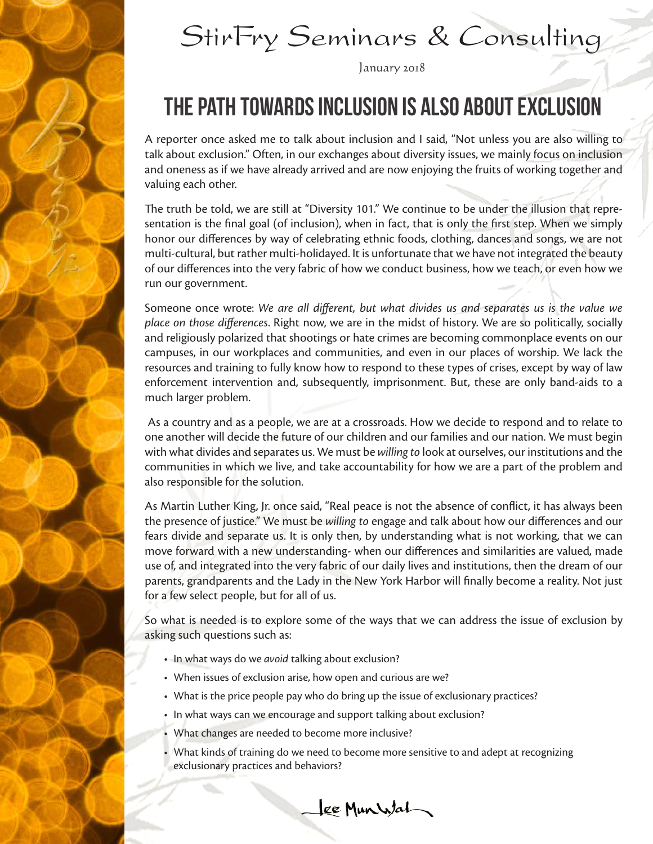

# StirFry Seminars & Consulting

January 2018

### THE PATH TOWARDS INCLUSION IS ALSO ABOUT EXCLUSION

A reporter once asked me to talk about inclusion and I said, "Not unless you are also willing to talk about exclusion." Often, in our exchanges about diversity issues, we mainly focus on inclusion and oneness as if we have already arrived and are now enjoying the fruits of working together and valuing each other.

The truth be told, we are still at "Diversity 101." We continue to be under the illusion that representation is the final goal (of inclusion), when in fact, that is only the first step. When we simply honor our differences by way of celebrating ethnic foods, clothing, dances and songs, we are not multi-cultural, but rather multi-holidayed. It is unfortunate that we have not integrated the beauty of our differences into the very fabric of how we conduct business, how we teach, or even how we run our government.

Someone once wrote: *We are all different, but what divides us and separates us is the value we place on those differences*. Right now, we are in the midst of history. We are so politically, socially and religiously polarized that shootings or hate crimes are becoming commonplace events on our campuses, in our workplaces and communities, and even in our places of worship. We lack the resources and training to fully know how to respond to these types of crises, except by way of law enforcement intervention and, subsequently, imprisonment. But, these are only band-aids to a much larger problem.

 As a country and as a people, we are at a crossroads. How we decide to respond and to relate to one another will decide the future of our children and our families and our nation. We must begin with what divides and separates us. We must be *willing to* look at ourselves, our institutions and the communities in which we live, and take accountability for how we are a part of the problem and also responsible for the solution.

As Martin Luther King, Jr. once said, "Real peace is not the absence of conflict, it has always been the presence of justice." We must be *willing to* engage and talk about how our differences and our fears divide and separate us. It is only then, by understanding what is not working, that we can move forward with a new understanding- when our differences and similarities are valued, made use of, and integrated into the very fabric of our daily lives and institutions, then the dream of our parents, grandparents and the Lady in the New York Harbor will finally become a reality. Not just for a few select people, but for all of us.

So what is needed is to explore some of the ways that we can address the issue of exclusion by asking such questions such as:

- In what ways do we *avoid* talking about exclusion?
- When issues of exclusion arise, how open and curious are we?
- What is the price people pay who do bring up the issue of exclusionary practices?
- In what ways can we encourage and support talking about exclusion?
- What changes are needed to become more inclusive?
- What kinds of training do we need to become more sensitive to and adept at recognizing exclusionary practices and behaviors?

Lee Munistat